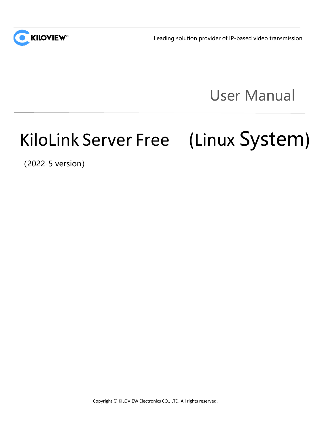

Leading solution provider of IP-based video transmission

User Manual

# KiloLink Server Free (Linux System)

(2022-5 version)

Copyright © KILOVIEW Electronics CO., LTD. All rights reserved.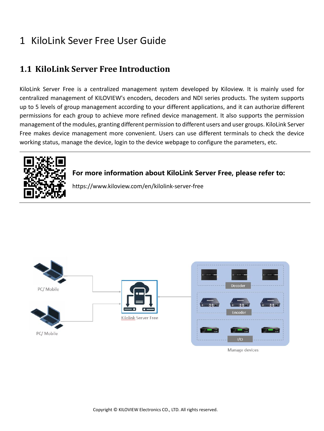# 1 KiloLink Sever Free User Guide

### **1.1 KiloLink Server Free Introduction**

KiloLink Server Free is a centralized management system developed by Kiloview. It is mainly used for centralized management of KILOVIEW's encoders, decoders and NDI series products. The system supports up to 5 levels of group management according to your different applications, and it can authorize different permissions for each group to achieve more refined device management. It also supports the permission management of the modules, granting different permission to different users and user groups. KiloLink Server Free makes device management more convenient. Users can use different terminals to check the device working status, manage the device, login to the device webpage to configure the parameters, etc.



**For more information about KiloLink Server Free, please refer to:**

<https://www.kiloview.com/en/kilolink-server-free>



Manage devices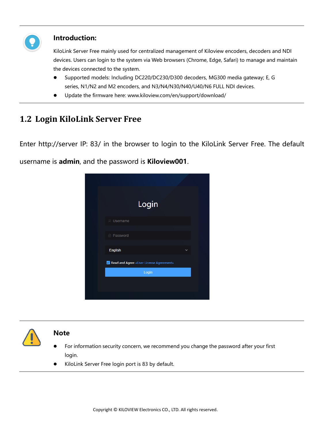

#### **Introduction:**

KiloLink Server Free mainly used for centralized management of Kiloview encoders, decoders and NDI devices. Users can login to the system via Web browsers (Chrome, Edge, Safari) to manage and maintain the devices connected to the system.

- ⚫ Supported models: Including DC220/DC230/D300 decoders, MG300 media gateway; E, G series, N1/N2 and M2 encoders, and N3/N4/N30/N40/U40/N6 FULL NDI devices.
- ⚫ Update the firmware here: www.kiloview.com/en/support/download/

### **1.2 Login KiloLink Server Free**

Enter http://server IP: 83/ in the browser to login to the KiloLink Server Free. The default

username is **admin**, and the password is **Kiloview001**.





#### **Note**

- ⚫ For information security concern, we recommend you change the password after your first login.
- ⚫ KiloLink Server Free login port is 83 by default.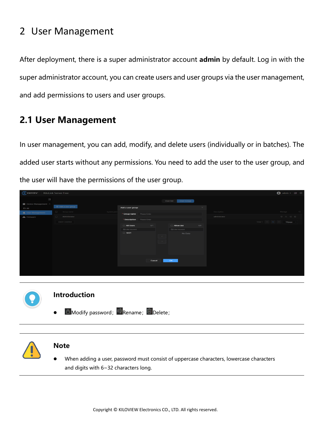# 2 User Management

After deployment, there is a super administrator account **admin** by default. Log in with the super administrator account, you can create users and user groups via the user management, and add permissions to users and user groups.

# **2.1 User Management**

In user management, you can add, modify, and delete users (individually or in batches). The added user starts without any permissions. You need to add the user to the user group, and the user will have the permissions of the user group.

| C KILOVIEW                        | <b>KiloLink Server Free</b> |             |                  |        |                                             |                         |          |               | <b>B</b> admin $\star$ <b>all</b> $\odot$                                                                                          |          |
|-----------------------------------|-----------------------------|-------------|------------------|--------|---------------------------------------------|-------------------------|----------|---------------|------------------------------------------------------------------------------------------------------------------------------------|----------|
| $\equiv$                          |                             |             |                  |        |                                             | User list<br>User Group |          |               |                                                                                                                                    |          |
| $\equiv$ Device Management $\sim$ | Add a user group            |             |                  |        |                                             |                         |          |               |                                                                                                                                    |          |
| <b>ED All</b>                     |                             |             | Add a user group |        |                                             |                         | $\times$ |               |                                                                                                                                    |          |
| User Management                   | Group name                  | System pern |                  |        |                                             |                         |          | Description   | Manage                                                                                                                             | $\alpha$ |
| <b>O</b> Firmware                 | Administrator<br>$\Box$     |             |                  |        |                                             |                         |          | administrator | $\begin{array}{cccccccccccccc} \circledcirc & \circledcirc & \circledcirc & \circledcircledcirc & \circledcircledcirc \end{array}$ |          |
|                                   | <b>Batch Deletion</b>       |             |                  |        |                                             |                         |          |               | Total $1 \leq 1 \leq 2$<br>$10$ /page $\sim$                                                                                       |          |
|                                   |                             |             | All Users        | 0/1    |                                             | Allow List              | O/O      |               |                                                                                                                                    |          |
|                                   |                             |             | Q Enter keyword  |        |                                             | Q Enter keyword         |          |               |                                                                                                                                    |          |
|                                   |                             |             | $\Box$ test1     |        | $\sim$ $<$ $-$<br>$\vert \rightarrow \vert$ | No Data                 |          |               |                                                                                                                                    |          |
|                                   |                             |             |                  | Cancel |                                             | OK.                     |          |               |                                                                                                                                    |          |
|                                   |                             |             |                  |        |                                             |                         |          |               |                                                                                                                                    |          |
|                                   |                             |             |                  |        |                                             |                         |          |               |                                                                                                                                    |          |



 $\Theta$  Modify password;  $\overline{\mathbb{E}}$  Rename;  $\overline{\mathbb{E}}$  Delete;



#### **Note**

⚫ When adding a user, password must consist of uppercase characters, lowercase characters and digits with 6~32 characters long.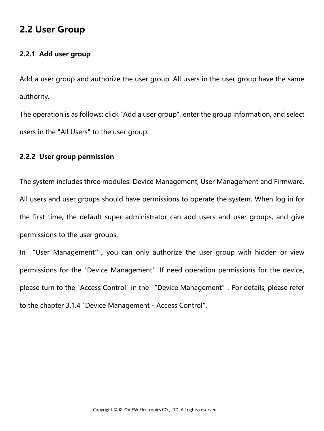# **2.2 User Group**

#### **2.2.1 Add user group**

Add a user group and authorize the user group. All users in the user group have the same authority.

The operation is as follows: click "Add a user group", enter the group information, and select users in the "All Users" to the user group.

#### **2.2.2 User group permission**

The system includes three modules: Device Management, User Management and Firmware. All users and user groups should have permissions to operate the system. When log in for the first time, the default super administrator can add users and user groups, and give permissions to the user groups.

In "User Management**",** you can only authorize the user group with hidden or view permissions for the "Device Management". If need operation permissions for the device, please turn to the "Access Control" in the "Device Management". For details, please refer to the chapter 3.1.4 "Device Management - Access Control".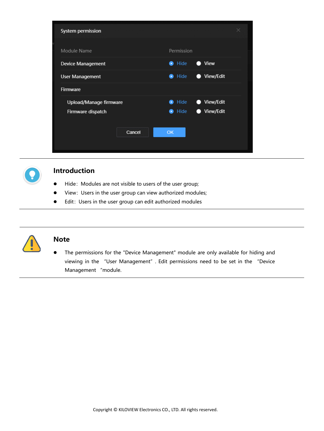| System permission      |        |                                | $\times$  |
|------------------------|--------|--------------------------------|-----------|
| Module Name            |        | Permission                     |           |
| Device Management      |        | Hide<br>$\bullet$              | View      |
| <b>User Management</b> |        | <b>O</b> Hide<br>$\bullet$     | View/Edit |
| Firmware               |        |                                |           |
| Upload/Manage firmware |        | Hide<br>$\bullet$<br>$\bullet$ | View/Edit |
| Firmware dispatch      |        | Hide<br>$\bullet$              | View/Edit |
|                        | Cancel | <b>OK</b>                      |           |



#### **Introduction**

- Hide: Modules are not visible to users of the user group;
- View: Users in the user group can view authorized modules;
- ⚫ Edit:Users in the user group can edit authorized modules



#### **Note**

⚫ The permissions for the "Device Management" module are only available for hiding and viewing in the "User Management". Edit permissions need to be set in the "Device Management "module.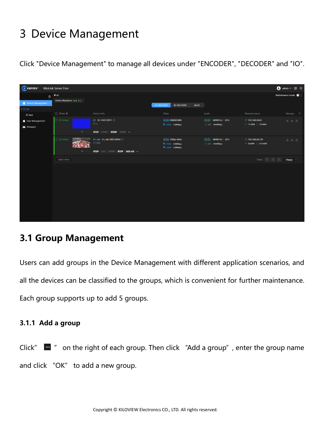# 3 Device Management

Click "Device Management" to manage all devices under "ENCODER", "DECODER" and "IO".

| C KILOVIEW <sup>®</sup>                    |                        | KiloLink Server Free                            |                                                                          |                                                                     |                         |                                                                                                                                                                                                                                                                                                                                                                                                         |                       |
|--------------------------------------------|------------------------|-------------------------------------------------|--------------------------------------------------------------------------|---------------------------------------------------------------------|-------------------------|---------------------------------------------------------------------------------------------------------------------------------------------------------------------------------------------------------------------------------------------------------------------------------------------------------------------------------------------------------------------------------------------------------|-----------------------|
|                                            | $\equiv$ $\bullet$ All |                                                 |                                                                          |                                                                     |                         |                                                                                                                                                                                                                                                                                                                                                                                                         | Maintenance mode •    |
|                                            |                        | Device Numbers: $\bullet$ 4 $\bullet$ 0         |                                                                          |                                                                     |                         |                                                                                                                                                                                                                                                                                                                                                                                                         |                       |
| <b>Exercise</b> Device Management $\wedge$ |                        |                                                 |                                                                          | <b>ED ENCODER</b><br><b>EDECODER</b>                                | $\Box$                  |                                                                                                                                                                                                                                                                                                                                                                                                         |                       |
| $\cdot$ $\theta$ All                       |                        |                                                 |                                                                          |                                                                     |                         |                                                                                                                                                                                                                                                                                                                                                                                                         |                       |
| $\Theta$ test                              |                        | $\Box$ Status $\triangleq$                      | Device Info.                                                             | Video                                                               | Audio                   | Network status                                                                                                                                                                                                                                                                                                                                                                                          | Manage Q              |
| <b>&amp;</b> User Management               |                        | $\Box$ $\odot$ Online                           | E1 E1-210110971 0                                                        | <b>@ SDI UNKNOWN</b>                                                | 48000 Hz 2CH<br>$@$ SDI | G 192.168.28.63                                                                                                                                                                                                                                                                                                                                                                                         | $A \nightharpoonup R$ |
| <b>A</b> Firmware                          |                        |                                                 | E1-a                                                                     | <sup>2</sup> H264 3.00Mbps                                          | AAC 64.00Kbps           | ↑ 11.50KB ↓ 18.54KB                                                                                                                                                                                                                                                                                                                                                                                     |                       |
|                                            |                        | $\bullet$ .                                     | <b>RTSP</b> $\vert$ RTMP $\vert$ <b>RTMP</b> $\vert$ RTMP $\vert$ $\sim$ |                                                                     |                         |                                                                                                                                                                                                                                                                                                                                                                                                         |                       |
|                                            |                        |                                                 |                                                                          |                                                                     |                         |                                                                                                                                                                                                                                                                                                                                                                                                         |                       |
|                                            |                        | $\Box$ $\odot$ Online<br><b>Antico Original</b> | E1_ndi E1_ndi-200130064 ①                                                | @ SDI 1080p 60Hz                                                    | @ SDI 48000 Hz 2CH      | ₫ 192.168.28.120                                                                                                                                                                                                                                                                                                                                                                                        | 89E                   |
|                                            |                        |                                                 | E1 NDI                                                                   | <b>Q</b> <sup>°</sup> H264 4.00Mbps<br><sup>2</sup> % H264 2.00Mbps | C AAC 64.00Kbps         | ↑ 6.62MB ↓ 215.42KB                                                                                                                                                                                                                                                                                                                                                                                     |                       |
|                                            |                        | $\bullet$                                       | <b>RTSP</b>   HLS   RTMP   RTSP   NDI-HX $\sim$                          |                                                                     |                         |                                                                                                                                                                                                                                                                                                                                                                                                         |                       |
|                                            |                        |                                                 |                                                                          |                                                                     |                         |                                                                                                                                                                                                                                                                                                                                                                                                         |                       |
|                                            |                        | <b>Batch Move</b>                               |                                                                          |                                                                     |                         | Total 2 $\begin{array}{ c c c c c c }\n\hline\n\text{Total 2} & \begin{array}{ c c c c }\n\hline\n\text{1} & \begin{array}{ c c c }\n\hline\n\text{2} & \text{1} & \text{1} & \text{10/page} & \text{9}\n\hline\n\end{array} & \begin{array}{ c c c c }\n\hline\n\text{1} & \text{0/page} & \text{9}\n\hline\n\end{array} & \begin{array}{ c c c c c }\n\hline\n\text{1} & \text{10/page} & \text{9}\n$ |                       |
|                                            |                        |                                                 |                                                                          |                                                                     |                         |                                                                                                                                                                                                                                                                                                                                                                                                         |                       |
|                                            |                        |                                                 |                                                                          |                                                                     |                         |                                                                                                                                                                                                                                                                                                                                                                                                         |                       |
|                                            |                        |                                                 |                                                                          |                                                                     |                         |                                                                                                                                                                                                                                                                                                                                                                                                         |                       |
|                                            |                        |                                                 |                                                                          |                                                                     |                         |                                                                                                                                                                                                                                                                                                                                                                                                         |                       |
|                                            |                        |                                                 |                                                                          |                                                                     |                         |                                                                                                                                                                                                                                                                                                                                                                                                         |                       |
|                                            |                        |                                                 |                                                                          |                                                                     |                         |                                                                                                                                                                                                                                                                                                                                                                                                         |                       |
|                                            |                        |                                                 |                                                                          |                                                                     |                         |                                                                                                                                                                                                                                                                                                                                                                                                         |                       |
|                                            |                        |                                                 |                                                                          |                                                                     |                         |                                                                                                                                                                                                                                                                                                                                                                                                         |                       |
|                                            |                        |                                                 |                                                                          |                                                                     |                         |                                                                                                                                                                                                                                                                                                                                                                                                         |                       |
|                                            |                        |                                                 |                                                                          |                                                                     |                         |                                                                                                                                                                                                                                                                                                                                                                                                         |                       |
|                                            |                        |                                                 |                                                                          |                                                                     |                         |                                                                                                                                                                                                                                                                                                                                                                                                         |                       |
|                                            |                        |                                                 |                                                                          |                                                                     |                         |                                                                                                                                                                                                                                                                                                                                                                                                         |                       |

# **3.1 Group Management**

Users can add groups in the Device Management with different application scenarios, and all the devices can be classified to the groups, which is convenient for further maintenance. Each group supports up to add 5 groups.

#### **3.1.1 Add a group**

Click"  $\mathbf{m}$  " on the right of each group. Then click "Add a group", enter the group name and click "OK" to add a new group.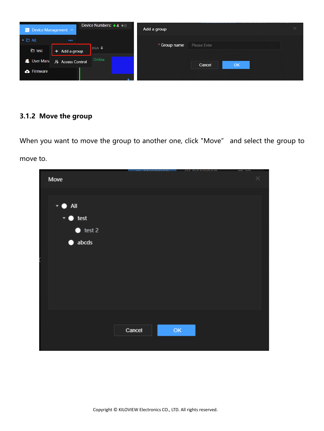

#### **3.1.2 Move the group**

When you want to move the group to another one, click "Move" and select the group to move to.

|                                    |        |                                                              | <b>CONTANNIE</b> | $-1$     |
|------------------------------------|--------|--------------------------------------------------------------|------------------|----------|
| Move                               |        |                                                              |                  | $\times$ |
|                                    |        |                                                              |                  |          |
| $\mathbf{v} \bullet \mathbf{A}$ ll |        |                                                              |                  |          |
| $\mathbf{\cdot} \bullet$ test      |        |                                                              |                  |          |
| $\bullet$ test 2                   |        |                                                              |                  |          |
| $\bullet$ abcds                    |        |                                                              |                  |          |
|                                    |        |                                                              |                  |          |
|                                    |        |                                                              |                  |          |
|                                    |        |                                                              |                  |          |
|                                    |        |                                                              |                  |          |
|                                    |        |                                                              |                  |          |
|                                    |        |                                                              |                  |          |
|                                    |        |                                                              |                  |          |
|                                    | Cancel | $\mathsf{OK}% _{\mathsf{CL}}^{\mathsf{CL}}(\mathcal{M}_{0})$ |                  |          |
|                                    |        |                                                              |                  |          |
|                                    |        |                                                              |                  |          |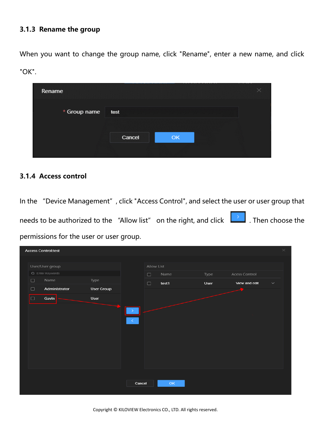#### **3.1.3 Rename the group**

When you want to change the group name, click "Rename", enter a new name, and click "OK".

| Rename       |        |     |   |  |
|--------------|--------|-----|---|--|
| * Group name | test   |     |   |  |
| kom          | Cancel | OK. | . |  |
|              |        |     |   |  |

#### **3.1.4 Access control**

In the "Device Management", click "Access Control", and select the user or user group that needs to be authorized to the "Allow list" on the right, and click  $\Box$ . Then choose the permissions for the user or user group.

|        | <b>Access Control:test</b> |                   |                                     |            |       |      |                      | $\times$     |
|--------|----------------------------|-------------------|-------------------------------------|------------|-------|------|----------------------|--------------|
|        |                            |                   |                                     |            |       |      |                      |              |
|        | User/User group            |                   |                                     | Allow List |       |      |                      |              |
|        | Q Enter Keywords           |                   |                                     | $\Box$     | Name  | Type | <b>Acess Control</b> |              |
| $\Box$ | Name                       | Type              |                                     | $\Box$     | test1 | User | View and edit        | $\checkmark$ |
| $\Box$ | Administrator              | <b>User Group</b> |                                     |            |       |      |                      |              |
| $\Box$ | Gavin                      | User              |                                     |            |       |      |                      |              |
|        |                            |                   |                                     |            |       |      |                      |              |
|        |                            |                   | $\rightarrow$                       |            |       |      |                      |              |
|        |                            |                   | $\langle\langle\cdot\rangle\rangle$ |            |       |      |                      |              |
|        |                            |                   |                                     |            |       |      |                      |              |
|        |                            |                   |                                     |            |       |      |                      |              |
|        |                            |                   |                                     |            |       |      |                      |              |
|        |                            |                   |                                     |            |       |      |                      |              |
|        |                            |                   |                                     |            |       |      |                      |              |
|        |                            |                   |                                     |            |       |      |                      |              |
|        |                            |                   |                                     |            |       |      |                      |              |
|        |                            |                   | Cancel                              |            | OK    |      |                      |              |
|        |                            |                   |                                     |            |       |      |                      |              |

Copyright © KILOVIEW Electronics CO., LTD. All rights reserved.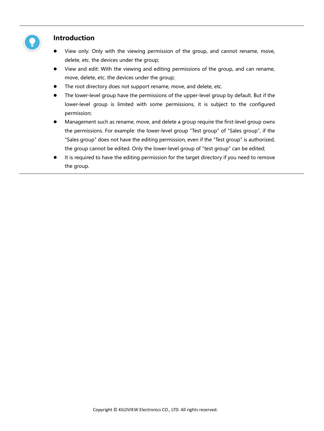

#### **Introduction**

- ⚫ View only: Only with the viewing permission of the group, and cannot rename, move, delete, etc. the devices under the group;
- ⚫ View and edit: With the viewing and editing permissions of the group, and can rename, move, delete, etc. the devices under the group;
- The root directory does not support rename, move, and delete, etc.
- ⚫ The lower-level group have the permissions of the upper-level group by default. But if the lower-level group is limited with some permissions, it is subject to the configured permission;
- ⚫ Management such as rename, move, and delete a group require the first-level group owns the permissions. For example: the lower-level group "Test group" of "Sales group", if the "Sales group" does not have the editing permission, even if the "Test group" is authorized, the group cannot be edited. Only the lower-level group of "test group" can be edited;
- It is required to have the editing permission for the target directory if you need to remove the group.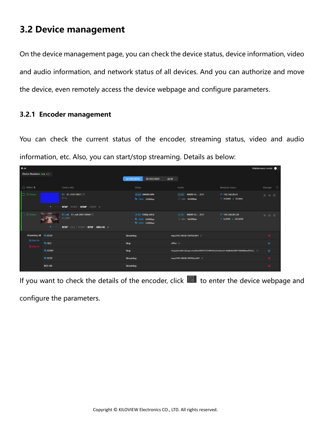# **3.2 Device management**

On the device management page, you can check the device status, device information, video and audio information, and network status of all devices. And you can authorize and move the device, even remotely access the device webpage and configure parameters.

#### **3.2.1 Encoder management**

You can check the current status of the encoder, streaming status, video and audio information, etc. Also, you can start/stop streaming. Details as below:

| $9$ All                                 |                            |                                                                                                 |                                                                                       |                       |                                                                                     |                                         | Maintenance mode · |
|-----------------------------------------|----------------------------|-------------------------------------------------------------------------------------------------|---------------------------------------------------------------------------------------|-----------------------|-------------------------------------------------------------------------------------|-----------------------------------------|--------------------|
| Device Numbers: $\bullet$ 4 $\bullet$ 0 |                            |                                                                                                 |                                                                                       |                       |                                                                                     |                                         |                    |
|                                         |                            |                                                                                                 | <b>EDECODER</b><br><b>ED ENCODER</b>                                                  | $\Box$                |                                                                                     |                                         |                    |
| $\Box$ Status $\triangleq$              |                            | Device Info.                                                                                    | Video                                                                                 |                       | Audio                                                                               | Network status                          | Manage<br>$\alpha$ |
| $\Box$ $\odot$ Online                   |                            | E1 E1-210110971 2<br>$E1-a$                                                                     | <b>@ SDI UNKNOWN</b><br><sup>2</sup> H264 3.00Mbps                                    |                       | 48000 Hz 2CH<br>@SDI<br>C AAC 64.00Kbps                                             | G 192,168,28.63<br>↑ 45.80KB ↓ 26.56KB  | $A \oplus R$       |
|                                         | $\bullet$ . The same       | <b>RTSP</b>   RTMP   RTMP   RTMP $\sim$                                                         |                                                                                       |                       |                                                                                     |                                         |                    |
| $\Box$ $\odot$ Online                   | $\bullet \cdots$           | E1_ndi E1_ndi-200130064 ①<br>E1 NDI<br><b>RTSP</b>   HLS   RTM <b>P</b>   RTSP   NDI-HX $\land$ | @ SDI 1080p 60Hz<br><b>Q</b> <sup>2</sup> H264 4.00Mbps<br><sup>2</sup> H264 2.00Mbps |                       | @ SDI 48000 Hz 2CH<br>AAC 64.00Kbps                                                 | G 192.168.28.120<br>↑ 6.31MB ↓ 202.63KB | $A \oplus E$       |
| Streaming All e: RTSP                   |                            |                                                                                                 | Streaming                                                                             |                       | rtsp://192.168.28.120:554/ch01                                                      |                                         | $\bullet$          |
| Start All<br>Stop All                   | <b>Q</b> : HLS             |                                                                                                 | Stop                                                                                  | offline <sup>()</sup> |                                                                                     |                                         | $\odot$            |
|                                         | <b>Q</b> : RTMP            |                                                                                                 | Stop                                                                                  |                       | rtmp://sendtc3.douyu.com/live/10673127r9kF0sCa?wsSecret=8a40da52fd119d0d86aed55c0 ( |                                         | $\odot$            |
|                                         | <b>Q</b> <sub>2</sub> RTSP |                                                                                                 | Streaming                                                                             |                       | rtsp://192.168.28.120:554/sub01                                                     |                                         | $\bullet$          |
|                                         | NDI-HX                     |                                                                                                 | <b>Streaming</b>                                                                      |                       |                                                                                     |                                         | $\bullet$          |

If you want to check the details of the encoder, click  $\mathbb{R}$  to enter the device webpage and

configure the parameters.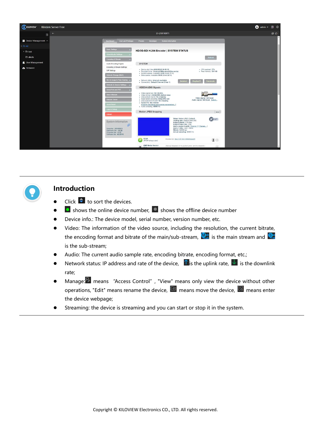



#### **Introduction**

- Click  $\bullet$  to sort the devices.
- $\bullet$  shows the online device number,  $\bullet$  shows the offline device number
- ⚫ Device info.: The device model, serial number, version number, etc.
- Video: The information of the video source, including the resolution, the current bitrate, the encoding format and bitrate of the main/sub-stream,  $\mathbb{Q}^s$  is the main stream and  $\mathbb{Q}^s$ is the sub-stream;
- Audio: The current audio sample rate, encoding bitrate, encoding format, etc.;
- Network status: IP address and rate of the device,  $\int_{a}^{b}$  is the is the downlink rate;
- Manage: means "Access Control", "View" means only view the device without other operations, "Edit" means rename the device,  $\Box$  means move the device,  $\Box$  means enter the device webpage;
- Streaming: the device is streaming and you can start or stop it in the system.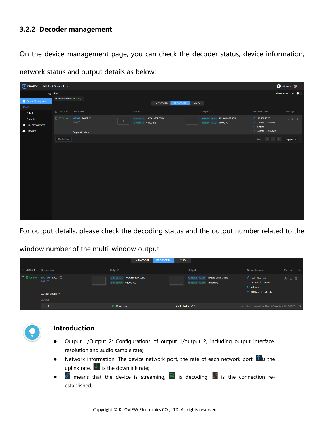#### **3.2.2 Decoder management**

On the device management page, you can check the decoder status, device information,

network status and output details as below:

| <b>C</b> KILOVIEW <sup>®</sup>                | KiloLink Server Free                    |                              |               |             |                                         |        |                                                       |                                                                                                      | $\bullet$ admin $\bullet$ admin $\bullet$ |
|-----------------------------------------------|-----------------------------------------|------------------------------|---------------|-------------|-----------------------------------------|--------|-------------------------------------------------------|------------------------------------------------------------------------------------------------------|-------------------------------------------|
|                                               | $\equiv$ $^{\circ}$ All                 |                              |               |             |                                         |        |                                                       |                                                                                                      | Maintenance mode O                        |
| $\equiv$ Device Management $\sim$             | Device Numbers: $\bullet$ 4 $\bullet$ 0 |                              |               |             | <b>ED ENCODER</b><br><b>DECODER</b>     | $\Box$ |                                                       |                                                                                                      |                                           |
| $\star$ $\ensuremath{\mathop{\boxtimes}}$ All |                                         |                              |               |             |                                         |        |                                                       |                                                                                                      |                                           |
| $\rightarrow$ $\leftrightarrow$ test          | □ Status ◆ Device Info.                 |                              |               | Output1     |                                         |        | Output2                                               | Network status                                                                                       | Manage Q                                  |
| $\Theta$ abcds                                | $\Box$ $\odot$ Online                   | <b>MG300 MG77 ©</b><br>MG300 | $\rightarrow$ | © IP Stream | @ IP Stream 1920x1080P 50Hz<br>48000 Hz |        | @ HDMI @ SDI 1920x1080P 30Hz<br>@ HDMI @ SDI 48000 Hz | € 192.168.28.20<br>↑ 17.11MB ↓ 8.43MB                                                                | $8 = 5$                                   |
| User Management                               |                                         |                              |               |             |                                         |        |                                                       | $\Omega$ unknow                                                                                      |                                           |
| <b>A</b> Firmware                             |                                         | Output details $\sim$        |               |             |                                         |        |                                                       | $\uparrow$ 0.00Byte $\downarrow$ 0.00Byte                                                            |                                           |
|                                               | <b>Batch Move</b>                       |                              |               |             |                                         |        |                                                       | Total 1 $\left \left  \left  \left  \right  \right  \right  \right $ 10/page $\left  \left  \right $ |                                           |
|                                               |                                         |                              |               |             |                                         |        |                                                       |                                                                                                      |                                           |
|                                               |                                         |                              |               |             |                                         |        |                                                       |                                                                                                      |                                           |
|                                               |                                         |                              |               |             |                                         |        |                                                       |                                                                                                      |                                           |
|                                               |                                         |                              |               |             |                                         |        |                                                       |                                                                                                      |                                           |
|                                               |                                         |                              |               |             |                                         |        |                                                       |                                                                                                      |                                           |
|                                               |                                         |                              |               |             |                                         |        |                                                       |                                                                                                      |                                           |
|                                               |                                         |                              |               |             |                                         |        |                                                       |                                                                                                      |                                           |
|                                               |                                         |                              |               |             |                                         |        |                                                       |                                                                                                      |                                           |
|                                               |                                         |                              |               |             |                                         |        |                                                       |                                                                                                      |                                           |
|                                               |                                         |                              |               |             |                                         |        |                                                       |                                                                                                      |                                           |
|                                               |                                         |                              |               |             |                                         |        |                                                       |                                                                                                      |                                           |
|                                               |                                         |                              |               |             |                                         |        |                                                       |                                                                                                      |                                           |

For output details, please check the decoding status and the output number related to the

window number of the multi-window output.

|                            |                                                                    | <b>ED ENCODER</b>                                                    | <b>@DECODER</b><br>$\Box$ 10                            |                                                                                                                      |
|----------------------------|--------------------------------------------------------------------|----------------------------------------------------------------------|---------------------------------------------------------|----------------------------------------------------------------------------------------------------------------------|
| $\Box$ Status $\triangleq$ | Device Info.                                                       | Output1                                                              | Output2                                                 | Network status<br>Manage<br>$\alpha$                                                                                 |
| $\Box$ $\odot$ Online      | <b>MG300 MG77 4</b><br>MG300<br>Output details $\wedge$<br>Output1 | 1920x1080P 50Hz<br><sup>©</sup> IP Stream<br>48000 Hz<br>@ IP Stream | @ HDMI @ SDI 1920x1080P 30Hz<br><b>EXAMPLE 18000 Hz</b> | G 192.168.28.20<br>$A \oplus E$<br>↑ 2.61MB ↓ 3.47MB<br>$\Omega$ unknow<br>$\uparrow$ 0.00Byte $\downarrow$ 0.00Byte |
|                            | $\blacksquare$                                                     | <sup>2</sup> Decoding                                                | 2560x1440@25.0Hz                                        | rtmp://hngd-cdn-pull-tx-1.hntv.tv/saas_live/a2b58a2227 (                                                             |



#### **Introduction**

- ⚫ Output 1/Output 2: Configurations of output 1/output 2, including output interface, resolution and audio sample rate;
- Network information: The device network port, the rate of each network port,  $\mathbf{f}$  is the uplink rate,  $\mathbf{v}$  is the downlink rate;
- $\mathscr{P}$  means that the device is streaming,  $\mathscr{P}$  is decoding,  $\mathscr{P}$  is the connection reestablished;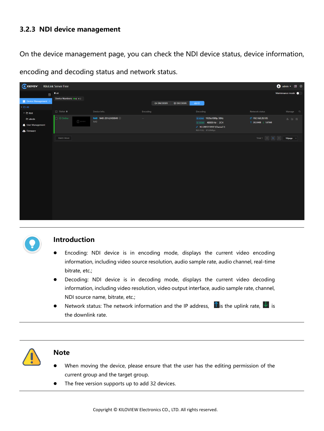#### **3.2.3 NDI device management**

On the device management page, you can check the NDI device status, device information,

encoding and decoding status and network status.

| E KILOVIEW <sup>®</sup>                                                                          | KiloLink Server Free                                              |                                              |                                      |                                                                                                                             | <b>A</b> admin $\cdot$ 8 0                                                                                                            |
|--------------------------------------------------------------------------------------------------|-------------------------------------------------------------------|----------------------------------------------|--------------------------------------|-----------------------------------------------------------------------------------------------------------------------------|---------------------------------------------------------------------------------------------------------------------------------------|
| <b>Exercise</b> Device Management $\land$<br>$\star$ $\ensuremath{\mathop{\boxtimes}}$ All       | $\equiv$ $\bullet$ All<br>Device Numbers: $\bullet$ 4 $\bullet$ 0 |                                              | <b>EDECODER</b><br><b>ED ENCODER</b> | $\Box$ 10                                                                                                                   | Maintenance mode ·                                                                                                                    |
| $\rightarrow$ $\leftrightarrow$ test<br>$\Theta$ abcds<br>& User Management<br><b>A</b> Firmware | $\Box$ Status $\triangleq$<br>□ ⊙ Online<br>$\bigodot$ KILOVIEW'  | Device Info.<br>N40 N40-20162430049 2<br>N40 | Encoding                             | Decoding<br>@ HDMI 1920x1080p 30Hz<br>@ HDMI 48000 Hz 2CH<br>$\mathcal{P}$ N3-20072110107 (Channel-1)<br>NDI-FULL 87.63Mbps | Manage Q<br>Network status<br>€ 192.168.28.105<br>8日 园<br>↑ 282.04KB ↓ 5.87MB                                                         |
|                                                                                                  | <b>Batch Move</b>                                                 |                                              |                                      |                                                                                                                             | Total 1 $\begin{array}{ c c c c c }\n\hline\n\text{Total 1} & \text{1} & \text{2} & \text{10/page} & \text{2} \\ \hline\n\end{array}$ |



#### **Introduction**

- ⚫ Encoding: NDI device is in encoding mode, displays the current video encoding information, including video source resolution, audio sample rate, audio channel, real-time bitrate, etc.;
- ⚫ Decoding: NDI device is in decoding mode, displays the current video decoding information, including video resolution, video output interface, audio sample rate, channel, NDI source name, bitrate, etc.;
- Network status: The network information and the IP address,  $\|\mathbf{f}\|$  is the uplink rate,  $\|\mathbf{f}\|$  is the downlink rate.



#### **Note**

- ⚫ When moving the device, please ensure that the user has the editing permission of the current group and the target group.
- The free version supports up to add 32 devices.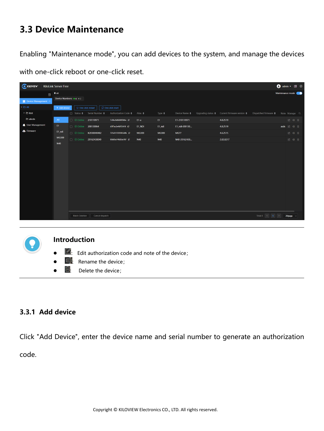# **3.3 Device Maintenance**

Enabling "Maintenance mode", you can add devices to the system, and manage the devices

| <b>C</b> KILOVIEW <sup>®</sup>             |   | KiloLink Server Free                    |                            |                        |                                 |                   |                   |               |                                                                     |                                               |      |                   |  |
|--------------------------------------------|---|-----------------------------------------|----------------------------|------------------------|---------------------------------|-------------------|-------------------|---------------|---------------------------------------------------------------------|-----------------------------------------------|------|-------------------|--|
|                                            | 圏 | $Q$ All                                 |                            |                        |                                 |                   |                   |               |                                                                     |                                               |      | Maintenance mode  |  |
| <b>Exercise</b> Device Management $\wedge$ |   | Device Numbers: $\bullet$ 4 $\bullet$ 0 |                            |                        |                                 |                   |                   |               |                                                                     |                                               |      |                   |  |
| $\cdot$ $\ominus$ All                      |   | + Add device                            | <b>①</b> One-click restart |                        | $\mathbb C$ One-click reset     |                   |                   |               |                                                                     |                                               |      |                   |  |
| ▶ 白 test                                   |   |                                         | $\Box$ Status $\triangleq$ | Serial Number ♦        | Authorization Code $\triangleq$ | Alias $\triangle$ | Type $\triangleq$ | Device Name ♦ | Upgrading status $\triangleq$ Current firmware version $\triangleq$ | Dispatched firmware $\triangleq$              |      | Note Manage Q     |  |
| $\Theta$ abcds                             |   | All                                     |                            | □ © Online 210110971   | 7c9bc9d6608f586e @              | E1-a              | E1                | E1-210110971  | 4.8.2519                                                            |                                               |      | 2 車 亩             |  |
| User Management                            |   | E1                                      |                            | Online 200130064       | d3f7ac2e4bf55418 @              | E1 NDI            | E1 ndi            | E1 ndi-200130 | 4.8.2519                                                            |                                               | asds | 召唤自               |  |
| <b>A</b> Firmware                          |   | E1_ndi                                  |                            | □ ⊙ Online K2030040482 | 725d315595fb5d8b (D)            | <b>MG300</b>      | <b>MG300</b>      | <b>MG77</b>   | 4.6.2515                                                            |                                               |      | 2 車 亩             |  |
|                                            |   | <b>MG300</b>                            |                            | □ ⊙ Online 20162430049 | 95695e74fd53e787                | N40               | N40               | N40-20162430  | 2.02.0217                                                           |                                               |      | 2 車 亩             |  |
|                                            |   | <b>N40</b>                              |                            |                        |                                 |                   |                   |               |                                                                     |                                               |      |                   |  |
|                                            |   |                                         | <b>Batch Deletion</b>      | Cancel dispatch        |                                 |                   |                   |               |                                                                     | Total 4 $\vert \langle \vert 1 \vert \rangle$ |      | $20$ /page $\sim$ |  |

with one-click reboot or one-click reset.



#### **Introduction**

- $\mathbb{Z}$ : Edit authorization code and note of the device;
- $\Box$  Rename the device;
- $\mathbf{u}$  Delete the device:

#### **3.3.1 Add device**

Click "Add Device", enter the device name and serial number to generate an authorization

code.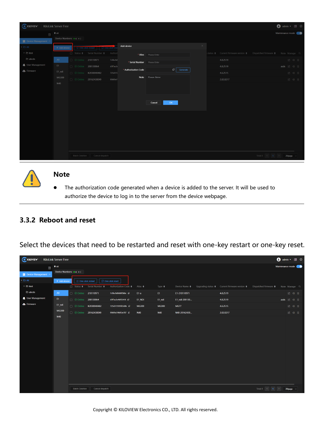| <b>KILOVIEW</b>                              | KiloLink Server Free           |                       |                                      |          |                              |                      |                      |          |                                                           |                                                     | <b>A</b> admin ▼ 8 ①                                                   |
|----------------------------------------------|--------------------------------|-----------------------|--------------------------------------|----------|------------------------------|----------------------|----------------------|----------|-----------------------------------------------------------|-----------------------------------------------------|------------------------------------------------------------------------|
|                                              | $\equiv$ 9 All                 |                       |                                      |          |                              |                      |                      |          |                                                           |                                                     | Maintenance mode                                                       |
| $\blacksquare$ Device Management $\land$     | Device Numbers: $\bullet$ 4 00 |                       |                                      |          |                              |                      |                      |          |                                                           |                                                     |                                                                        |
| $ \ominus$ All                               | + Add device                   |                       | O One-click restart   C One-click re |          | Add device                   |                      |                      | $\times$ |                                                           |                                                     |                                                                        |
| $\triangleright$ $\ensuremath{\boxdot}$ test |                                |                       | □ Status ◆ Serial Number ◆           | Authori  |                              | * Alias Please Enter |                      |          | status $\Leftarrow$ Current firmware version $\Leftarrow$ | Dispatched firmware $\Rightarrow$                   | Note Manage Q                                                          |
| $\ominus$ abcds                              | All                            |                       | □ ⊙ Online 210110971                 | 7c9bc9d  | * Serial Number Please Enter |                      |                      |          | 4.8.2519                                                  |                                                     | 2 車 亩                                                                  |
| <b>2</b> User Management                     | E1                             | $\Box$ $\odot$ Online | 200130064                            | d3f7ac2e |                              |                      |                      |          | 4.8.2519                                                  |                                                     | asds $\mathbb{Z}$ of $\Box$                                            |
| <b>A</b> Firmware                            | E1_ndi                         |                       | □ ⊙ Online K2030040482               | 725d315  | * Authorization Code         |                      | $\sigma$<br>Generate |          | 4.6.2515                                                  |                                                     | $\begin{tabular}{ll} $\mathbb{Z}$ & $\oplus$ & $\oplus$ \end{tabular}$ |
|                                              | MG300                          |                       | □ ⊙ Online 20162430049               | 95695e7  | Note                         | Please Enter         |                      |          | 2.02.0217                                                 |                                                     | 2 0 0                                                                  |
|                                              | N40                            |                       |                                      |          |                              |                      |                      |          |                                                           |                                                     |                                                                        |
|                                              |                                |                       |                                      |          |                              |                      |                      |          |                                                           |                                                     |                                                                        |
|                                              |                                |                       |                                      |          |                              |                      |                      |          |                                                           |                                                     |                                                                        |
|                                              |                                |                       |                                      |          |                              | Cancel<br>OK         |                      |          |                                                           |                                                     |                                                                        |
|                                              |                                |                       |                                      |          |                              |                      |                      |          |                                                           |                                                     |                                                                        |
|                                              |                                |                       |                                      |          |                              |                      |                      |          |                                                           |                                                     |                                                                        |
|                                              |                                |                       |                                      |          |                              |                      |                      |          |                                                           |                                                     |                                                                        |
|                                              |                                |                       |                                      |          |                              |                      |                      |          |                                                           |                                                     |                                                                        |
|                                              |                                |                       |                                      |          |                              |                      |                      |          |                                                           |                                                     |                                                                        |
|                                              |                                |                       |                                      |          |                              |                      |                      |          |                                                           |                                                     |                                                                        |
|                                              |                                |                       |                                      |          |                              |                      |                      |          |                                                           |                                                     |                                                                        |
|                                              |                                | <b>Batch Deletion</b> | Cancel dispatch                      |          |                              |                      |                      |          |                                                           | Total 4 $\vert \langle \vert 1 \vert \vert \rangle$ | 20/page $\sim$                                                         |



#### **Note**

⚫ The authorization code generated when a device is added to the server. It will be used to authorize the device to log in to the server from the device webpage.

#### **3.3.2 Reboot and reset**

Select the devices that need to be restarted and reset with one-key restart or one-key reset.

| C KILOVIEW <sup>®</sup>                  |                       | KiloLink Server Free                    |  |                                   |                                      |                                 |                    |                   |               |                                                                                                                    |                                                                |  | <b>B</b> admin $\overline{\phantom{a}}$ <b>admin</b> $\overline{\phantom{a}}$ <b>admin</b> |  |
|------------------------------------------|-----------------------|-----------------------------------------|--|-----------------------------------|--------------------------------------|---------------------------------|--------------------|-------------------|---------------|--------------------------------------------------------------------------------------------------------------------|----------------------------------------------------------------|--|--------------------------------------------------------------------------------------------|--|
|                                          | $\equiv$ <b>9 All</b> |                                         |  |                                   |                                      |                                 |                    |                   |               | Maintenance mode                                                                                                   |                                                                |  |                                                                                            |  |
| <b>Exercise</b> Device Management $\sim$ |                       | Device Numbers: $\bullet$ 4 $\bullet$ 0 |  |                                   |                                      |                                 |                    |                   |               |                                                                                                                    |                                                                |  |                                                                                            |  |
| $\rightarrow$ $\leftrightarrow$ All      |                       | + Add device                            |  | <b><i>む</i></b> One-click restart |                                      | $\mathbb C$ One-click reset     |                    |                   |               |                                                                                                                    |                                                                |  |                                                                                            |  |
| $\rightarrow$ $\leftrightarrow$ test     |                       |                                         |  |                                   | □ Status $\div$ Serial Number $\div$ | Authorization Code $\triangleq$ | Alias $\triangleq$ | Type $\triangleq$ | Device Name ♦ | Upgrading status $\triangleq$ Current firmware version $\triangleq$ Dispatched firmware $\triangleq$ Note Manage Q |                                                                |  |                                                                                            |  |
| $\Theta$ abcds                           |                       | All                                     |  |                                   | □ © Online 210110971                 | 7c9bc9d6608f586e (C)            | E1-a               | E1                | E1-210110971  | 4.8.2519                                                                                                           |                                                                |  | 乙申市                                                                                        |  |
| <b>&amp;</b> User Management             |                       | E1                                      |  |                                   | □ © Online 200130064                 | d3f7ac2e4bf55418 (D)            | E1 NDI             | E1 ndi            | E1 ndi-200130 | 4.8.2519                                                                                                           |                                                                |  | asds 乙 重 直                                                                                 |  |
| <b>A</b> Firmware                        |                       | E1_ndi                                  |  |                                   | □ ⊙ Online K2030040482               | 725d315595fb5d8b (D)            | <b>MG300</b>       | <b>MG300</b>      | <b>MG77</b>   | 4.6.2515                                                                                                           |                                                                |  | 2 单 亩                                                                                      |  |
|                                          |                       | <b>MG300</b>                            |  |                                   | Online 20162430049                   | 95695e74fd53e787                | N40                | <b>N40</b>        | N40-20162430  | 2.02.0217                                                                                                          |                                                                |  | 2 单 亩                                                                                      |  |
|                                          |                       | N40                                     |  |                                   |                                      |                                 |                    |                   |               |                                                                                                                    |                                                                |  |                                                                                            |  |
|                                          |                       |                                         |  | <b>Batch Deletion</b>             | Cancel dispatch                      |                                 |                    |                   |               |                                                                                                                    | Total 4 $\left \left \left \right \right $ 1 $\left \right $ > |  | 20/page $\sim$                                                                             |  |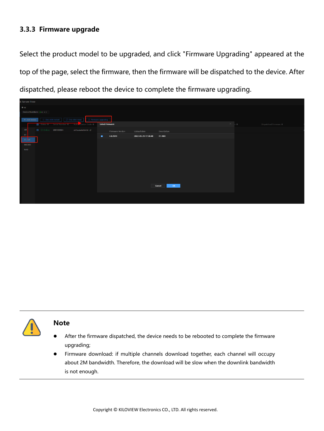#### **3.3.3 Firmware upgrade**

Select the product model to be upgraded, and click "Firmware Upgrading" appeared at the top of the page, select the firmware, then the firmware will be dispatched to the device. After dispatched, please reboot the device to complete the firmware upgrading.





#### **Note**

- ⚫ After the firmware dispatched, the device needs to be rebooted to complete the firmware upgrading;
- ⚫ Firmware download: if multiple channels download together, each channel will occupy about 2M bandwidth. Therefore, the download will be slow when the downlink bandwidth is not enough.